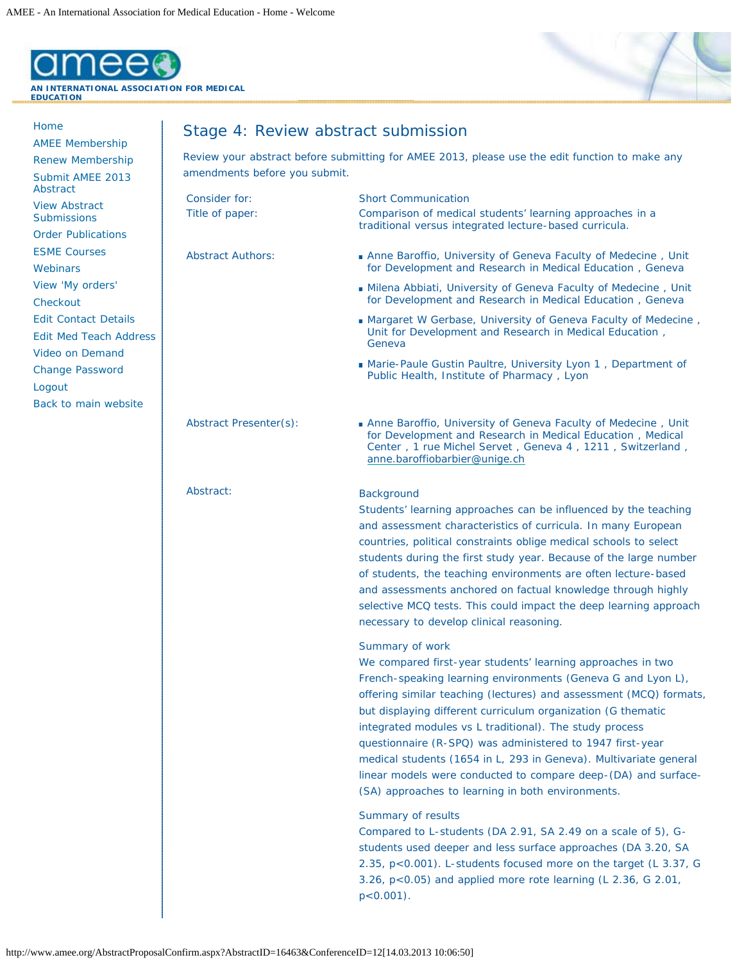

[Home](http://www.amee.org/welcome.aspx)

[Abstract](http://www.amee.org/AbstractProposal.aspx?ConferenceID=12) [View Abstract](http://www.amee.org/MyAbstractProposal.aspx?ConferenceID=12) **[Submissions](http://www.amee.org/MyAbstractProposal.aspx?ConferenceID=12)** [Order Publications](http://www.amee.org/Publications.aspx?ConferenceID=12) [ESME Courses](http://www.amee.org/Courses.aspx) **[Webinars](http://www.amee.org/Webinars.aspx)** 

[AMEE Membership](http://www.amee.org/MembershipApplication.aspx) [Renew Membership](http://www.amee.org/MembershipRenewal.aspx) [Submit AMEE 2013](http://www.amee.org/AbstractProposal.aspx?ConferenceID=12)



## Stage 4: Review abstract submission

Review your abstract before submitting for AMEE 2013, please use the edit function to make any amendments before you submit.

| <b>View Abstract</b>                                                                   | Consider for:            | <b>Short Communication</b>                                                                                                                                                                                                                                                                                                                                                                                                                                                                                                                                                                               |
|----------------------------------------------------------------------------------------|--------------------------|----------------------------------------------------------------------------------------------------------------------------------------------------------------------------------------------------------------------------------------------------------------------------------------------------------------------------------------------------------------------------------------------------------------------------------------------------------------------------------------------------------------------------------------------------------------------------------------------------------|
| <b>Submissions</b>                                                                     | Title of paper:          | Comparison of medical students' learning approaches in a<br>traditional versus integrated lecture-based curricula.                                                                                                                                                                                                                                                                                                                                                                                                                                                                                       |
| <b>Order Publications</b>                                                              |                          |                                                                                                                                                                                                                                                                                                                                                                                                                                                                                                                                                                                                          |
| <b>ESME Courses</b>                                                                    | <b>Abstract Authors:</b> | Anne Baroffio, University of Geneva Faculty of Medecine, Unit                                                                                                                                                                                                                                                                                                                                                                                                                                                                                                                                            |
| <b>Webinars</b>                                                                        |                          | for Development and Research in Medical Education, Geneva                                                                                                                                                                                                                                                                                                                                                                                                                                                                                                                                                |
| View 'My orders'<br>Checkout                                                           |                          | Milena Abbiati, University of Geneva Faculty of Medecine, Unit<br>for Development and Research in Medical Education, Geneva                                                                                                                                                                                                                                                                                                                                                                                                                                                                              |
| <b>Edit Contact Details</b><br><b>Edit Med Teach Address</b><br><b>Video on Demand</b> |                          | ■ Margaret W Gerbase, University of Geneva Faculty of Medecine,<br>Unit for Development and Research in Medical Education,<br>Geneva                                                                                                                                                                                                                                                                                                                                                                                                                                                                     |
| <b>Change Password</b><br>Logout<br>Back to main website                               |                          | ■ Marie-Paule Gustin Paultre, University Lyon 1, Department of<br>Public Health, Institute of Pharmacy, Lyon                                                                                                                                                                                                                                                                                                                                                                                                                                                                                             |
|                                                                                        | Abstract Presenter(s):   | Anne Baroffio, University of Geneva Faculty of Medecine, Unit<br>for Development and Research in Medical Education, Medical<br>Center, 1 rue Michel Servet, Geneva 4, 1211, Switzerland,<br>anne.baroffiobarbier@unige.ch                                                                                                                                                                                                                                                                                                                                                                                |
|                                                                                        | Abstract:                | <b>Background</b><br>Students' learning approaches can be influenced by the teaching<br>and assessment characteristics of curricula. In many European<br>countries, political constraints oblige medical schools to select<br>students during the first study year. Because of the large number<br>of students, the teaching environments are often lecture-based<br>and assessments anchored on factual knowledge through highly<br>selective MCQ tests. This could impact the deep learning approach<br>necessary to develop clinical reasoning.                                                       |
|                                                                                        |                          | Summary of work<br>We compared first-year students' learning approaches in two<br>French-speaking learning environments (Geneva G and Lyon L),<br>offering similar teaching (lectures) and assessment (MCQ) formats,<br>but displaying different curriculum organization (G thematic<br>integrated modules vs L traditional). The study process<br>questionnaire (R-SPQ) was administered to 1947 first-year<br>medical students (1654 in L, 293 in Geneva). Multivariate general<br>linear models were conducted to compare deep-(DA) and surface-<br>(SA) approaches to learning in both environments. |
|                                                                                        |                          | Summary of results<br>Compared to L-students (DA 2.91, SA 2.49 on a scale of 5), G-<br>students used deeper and less surface approaches (DA 3.20, SA<br>2.35, p<0.001). L-students focused more on the target (L 3.37, G<br>3.26, p<0.05) and applied more rote learning (L 2.36, G 2.01,<br>$p < 0.001$ ).                                                                                                                                                                                                                                                                                              |

http://www.amee.org/AbstractProposalConfirm.aspx?AbstractID=16463&ConferenceID=12[14.03.2013 10:06:50]